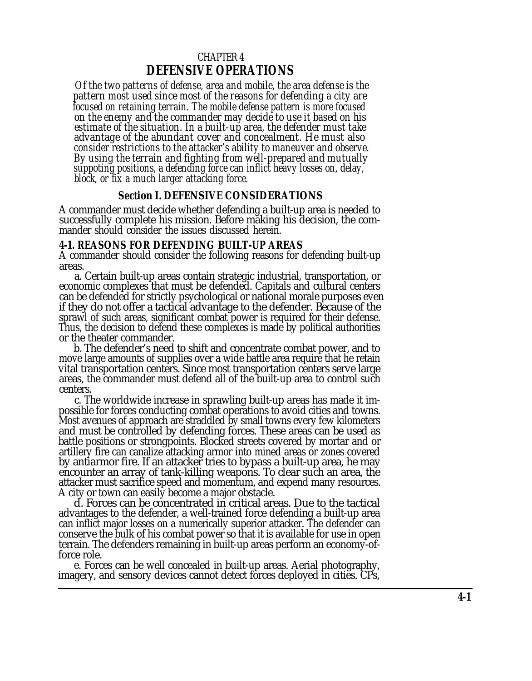# CHAPTER 4 **DEFENSIVE OPERATIONS**

<span id="page-0-0"></span>*Of the two patterns of defense, area and mobile, the area defense is the pattern most used since most of the reasons for defending a city are focused on retaining terrain. The mobile defense pattern is more focused on the enemy and the commander may decide to use it based on his estimate of the situation. In a built-up area, the defender must take advantage of the abundant cover and concealment. He must also consider restrictions to the attacker's ability to maneuver and observe. By using the terrain and fighting from well-prepared and mutually suppoting positions, a defending force can inflict heavy losses on, delay, block, or fix a much larger attacking force.*

### **Section I. DEFENSIVE CONSIDERATIONS**

A commander must decide whether defending a built-up area is needed to successfully complete his mission. Before making his decision, the commander should consider the issues discussed herein.

### **4-1. REASONS FOR DEFENDING BUILT-UP AREAS**

A commander should consider the following reasons for defending built-up areas.

a. Certain built-up areas contain strategic industrial, transportation, or economic complexes that must be defended. Capitals and cultural centers can be defended for strictly psychological or national morale purposes even if they do not offer a tactical advantage to the defender. Because of the sprawl of such areas, significant combat power is required for their defense. Thus, the decision to defend these complexes is made by political authorities or the theater commander.

b. The defender's need to shift and concentrate combat power, and to move large amounts of supplies over a wide battle area require that he retain vital transportation centers. Since most transportation centers serve large areas, the commander must defend all of the built-up area to control such centers.

c. The worldwide increase in sprawling built-up areas has made it impossible for forces conducting combat operations to avoid cities and towns. Most avenues of approach are straddled by small towns every few kilometers and must be controlled by defending forces. These areas can be used as battle positions or strongpoints. Blocked streets covered by mortar and or artillery fire can canalize attacking armor into mined areas or zones covered by antiarmor fire. If an attacker tries to bypass a built-up area, he may encounter an array of tank-killing weapons. To clear such an area, the attacker must sacrifice speed and momentum, and expend many resources. A city or town can easily become a major obstacle.

d. Forces can be concentrated in critical areas. Due to the tactical advantages to the defender, a well-trained force defending a built-up area can inflict major losses on a numerically superior attacker. The defender can conserve the bulk of his combat power so that it is available for use in open terrain. The defenders remaining in built-up areas perform an economy-offorce role.

e. Forces can be well concealed in built-up areas. Aerial photography, imagery, and sensory devices cannot detect forces deployed in cities. CPs,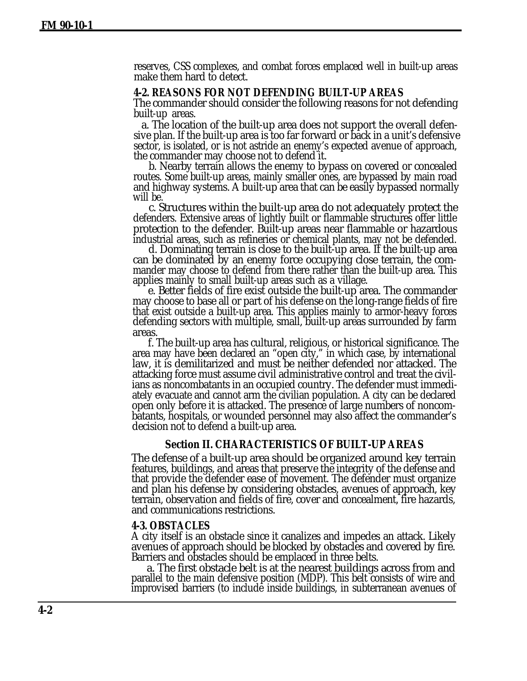reserves, CSS complexes, and combat forces emplaced well in built-up areas make them hard to detect.

#### **4-2. REASONS FOR NOT DEFENDING BUILT-UP AREAS**

The commander should consider the following reasons for not defending built-up areas.

a. The location of the built-up area does not support the overall defensive plan. If the built-up area is too far forward or back in a unit's defensive sector, is isolated, or is not astride an enemy's expected avenue of approach, the commander may choose not to defend it.

b. Nearby terrain allows the enemy to bypass on covered or concealed routes. Some built-up areas, mainly smaller ones, are bypassed by main road and highway systems. A built-up area that can be easily bypassed normally will be.

c. Structures within the built-up area do not adequately protect the defenders. Extensive areas of lightly built or flammable structures offer little protection to the defender. Built-up areas near flammable or hazardous industrial areas, such as refineries or chemical plants, may not be defended.

d. Dominating terrain is close to the built-up area. If the built-up area can be dominated by an enemy force occupying close terrain, the commander may choose to defend from there rather than the built-up area. This applies mainly to small built-up areas such as a village.

e. Better fields of fire exist outside the built-up area. The commander may choose to base all or part of his defense on the long-range fields of fire that exist outside a built-up area. This applies mainly to armor-heavy forces defending sectors with multiple, small, built-up areas surrounded by farm areas.

f. The built-up area has cultural, religious, or historical significance. The area may have been declared an "open city," in which case, by international law, it is demilitarized and must be neither defended nor attacked. The attacking force must assume civil administrative control and treat the civilians as noncombatants in an occupied country. The defender must immediately evacuate and cannot arm the civilian population. A city can be declared open only before it is attacked. The presence of large numbers of noncombatants, hospitals, or wounded personnel may also affect the commander's decision not to defend a built-up area.

#### **Section II. CHARACTERISTICS OF BUILT-UP AREAS**

The defense of a built-up area should be organized around key terrain features, buildings, and areas that preserve the integrity of the defense and that provide the defender ease of movement. The defender must organize and plan his defense by considering obstacles, avenues of approach, key terrain, observation and fields of fire, cover and concealment, fire hazards, and communications restrictions.

#### **4-3. OBSTACLES**

A city itself is an obstacle since it canalizes and impedes an attack. Likely avenues of approach should be blocked by obstacles and covered by fire. Barriers and obstacles should be emplaced in three belts.

a. The first obstacle belt is at the nearest buildings across from and parallel to the main defensive position (MDP). This belt consists of wire and improvised barriers (to include inside buildings, in subterranean avenues of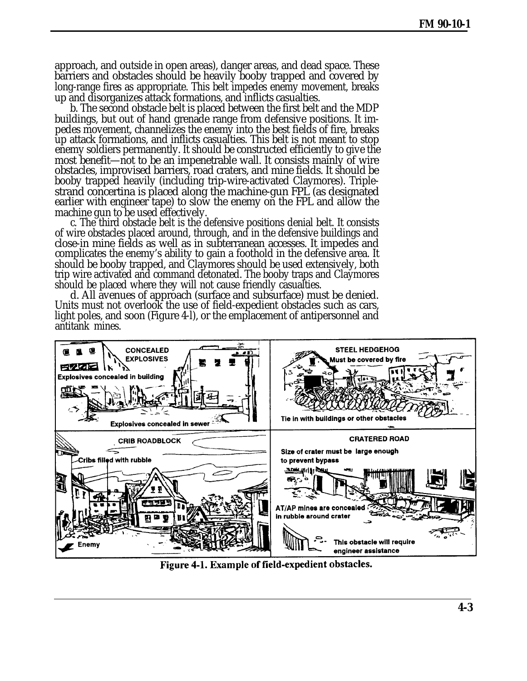approach, and outside in open areas), danger areas, and dead space. These barriers and obstacles should be heavily booby trapped and covered by long-range fires as appropriate. This belt impedes enemy movement, breaks up and disorganizes attack formations, and inflicts casualties.

b. The second obstacle belt is placed between the first belt and the MDP buildings, but out of hand grenade range from defensive positions. It impedes movement, channelizes the enemy into the best fields of fire, breaks up attack formations, and inflicts casualties. This belt is not meant to stop enemy soldiers permanently. It should be constructed efficiently to give the most benefit—not to be an impenetrable wall. It consists mainly of wire obstacles, improvised barriers, road craters, and mine fields. It should be booby trapped heavily (including trip-wire-activated Claymores). Triplestrand concertina is placed along the machine-gun FPL (as designated earlier with engineer tape) to slow the enemy on the FPL and allow the machine gun to be used effectively.

c. The third obstacle belt is the defensive positions denial belt. It consists of wire obstacles placed around, through, and in the defensive buildings and close-in mine fields as well as in subterranean accesses. It impedes and complicates the enemy's ability to gain a foothold in the defensive area. It should be booby trapped, and Claymores should be used extensively, both trip wire activated and command detonated. The booby traps and Claymores should be placed where they will not cause friendly casualties.

d. All avenues of approach (surface and subsurface) must be denied. Units must not overlook the use of field-expedient obstacles such as cars, light poles, and soon (Figure 4-l), or the emplacement of antipersonnel and antitank mines.



Figure 4-1. Example of field-expedient obstacles.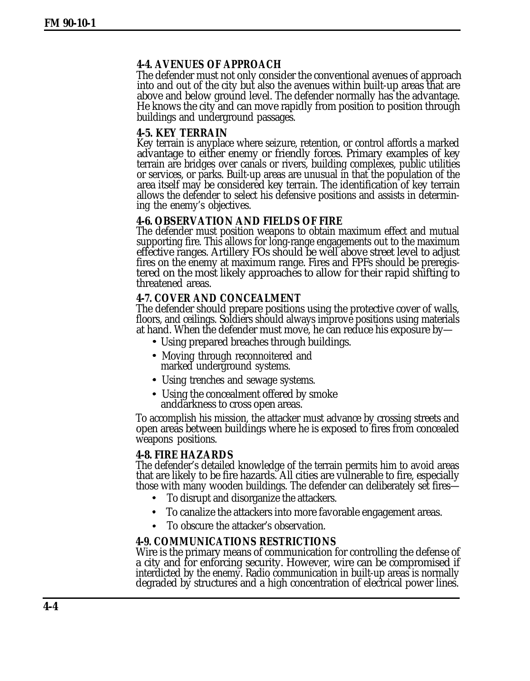## **4-4. AVENUES OF APPROACH**

The defender must not only consider the conventional avenues of approach into and out of the city but also the avenues within built-up areas that are above and below ground level. The defender normally has the advantage. He knows the city and can move rapidly from position to position through buildings and underground passages.

## **4-5. KEY TERRAIN**

Key terrain is anyplace where seizure, retention, or control affords a marked advantage to either enemy or friendly forces. Primary examples of key terrain are bridges over canals or rivers, building complexes, public utilities or services, or parks. Built-up areas are unusual in that the population of the area itself may be considered key terrain. The identification of key terrain allows the defender to select his defensive positions and assists in determining the enemy's objectives.

## **4-6. OBSERVATION AND FIELDS OF FIRE**

The defender must position weapons to obtain maximum effect and mutual supporting fire. This allows for long-range engagements out to the maximum effective ranges. Artillery FOs should be well above street level to adjust fires on the enemy at maximum range. Fires and FPFs should be preregistered on the most likely approaches to allow for their rapid shifting to threatened areas.

## **4-7. COVER AND CONCEALMENT**

The defender should prepare positions using the protective cover of walls, floors, and ceilings. Soldiers should always improve positions using materials at hand. When the defender must move, he can reduce his exposure by—

- Using prepared breaches through buildings.
- Moving through reconnoitered and marked underground systems.
- Using trenches and sewage systems.
- Using the concealment offered by smoke anddarkness to cross open areas.

To accomplish his mission, the attacker must advance by crossing streets and open areas between buildings where he is exposed to fires from concealed weapons positions.

### **4-8. FIRE HAZARDS**

The defender's detailed knowledge of the terrain permits him to avoid areas that are likely to be fire hazards. All cities are vulnerable to fire, especially those with many wooden buildings. The defender can deliberately set fires—

- To disrupt and disorganize the attackers.
- To canalize the attackers into more favorable engagement areas.  $\bullet$
- To obscure the attacker's observation.

## **4-9. COMMUNICATIONS RESTRICTIONS**

Wire is the primary means of communication for controlling the defense of a city and for enforcing security. However, wire can be compromised if interdicted by the enemy. Radio communication in built-up areas is normally degraded by structures and a high concentration of electrical power lines.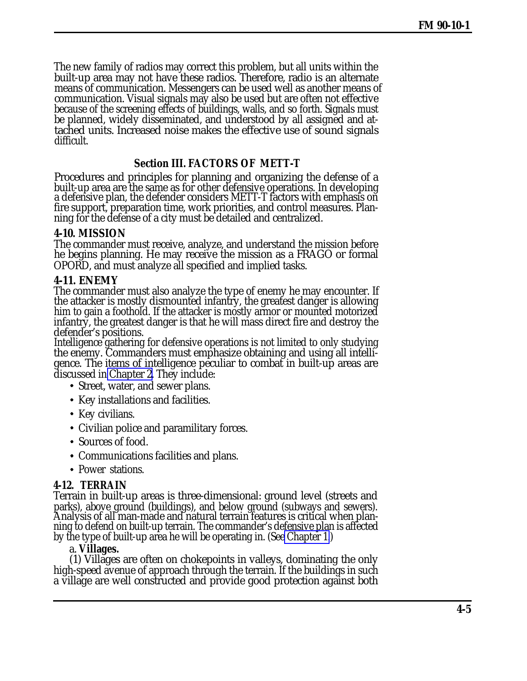The new family of radios may correct this problem, but all units within the built-up area may not have these radios. Therefore, radio is an alternate means of communication. Messengers can be used well as another means of communication. Visual signals may also be used but are often not effective because of the screening effects of buildings, walls, and so forth. Signals must be planned, widely disseminated, and understood by all assigned and attached units. Increased noise makes the effective use of sound signals difficult.

# **Section III. FACTORS OF METT-T**

Procedures and principles for planning and organizing the defense of a built-up area are the same as for other defensive operations. In developing a defensive plan, the defender considers METT-T factors with emphasis on fire support, preparation time, work priorities, and control measures. Planning for the defense of a city must be detailed and centralized.

## **4-10. MISSION**

The commander must receive, analyze, and understand the mission before he begins planning. He may receive the mission as a FRAGO or formal OPORD, and must analyze all specified and implied tasks.

## **4-11. ENEMY**

The commander must also analyze the type of enemy he may encounter. If the attacker is mostly dismounted infantry, the greatest danger is allowing him to gain a foothold. If the attacker is mostly armor or mounted motorized infantry, the greatest danger is that he will mass direct fire and destroy the defender's positions.

Intelligence gathering for defensive operations is not limited to only studying the enemy. Commanders must emphasize obtaining and using all intelligence. The items of intelligence peculiar to combat in built-up areas are discussed in [Chapter 2.](#page-0-0) They include:

- Street, water, and sewer plans.
- Key installations and facilities.
- Key civilians.
- Civilian police and paramilitary forces.
- Sources of food.
- Communications facilities and plans.
- Power stations.

# **4-12. TERRAIN**

Terrain in built-up areas is three-dimensional: ground level (streets and parks), above ground (buildings), and below ground (subways and sewers). Analysis of all man-made and natural terrain features is critical when planning to defend on built-up terrain. The commander's defensive plan is affected by the type of built-up area he will be operating in. (See [Chapter 1.](#page-0-0))

## a. **Villages.**

(1) Villages are often on chokepoints in valleys, dominating the only high-speed avenue of approach through the terrain. If the buildings in such a village are well constructed and provide good protection against both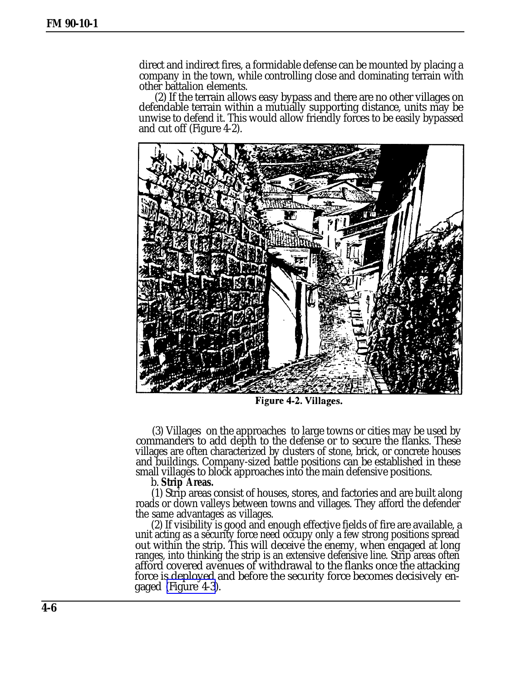direct and indirect fires, a formidable defense can be mounted by placing a company in the town, while controlling close and dominating terrain with other battalion elements.

(2) If the terrain allows easy bypass and there are no other villages on defendable terrain within a mutually supporting distance, units may be unwise to defend it. This would allow friendly forces to be easily bypassed and cut off (Figure 4-2).



Figure 4-2. Villages.

(3) Villages on the approaches to large towns or cities may be used by commanders to add depth to the defense or to secure the flanks. These villages are often characterized by clusters of stone, brick, or concrete houses and buildings. Company-sized battle positions can be established in these small villages to block approaches into the main defensive positions.

b. **Strip Areas.**

(1) Strip areas consist of houses, stores, and factories and are built along roads or down valleys between towns and villages. They afford the defender the same advantages as villages.

(2) If visibility is good and enough effective fields of fire are available, a unit acting as a security force need occupy only a few strong positions spread out within the strip. This will deceive the enemy, when engaged at long ranges, into thinking the strip is an extensive defensive line. Strip areas often afford covered avenues of withdrawal to the flanks once the attacking force is deployed and before the security force becomes decisively engaged [\(Figure 4-3\)](#page-6-0).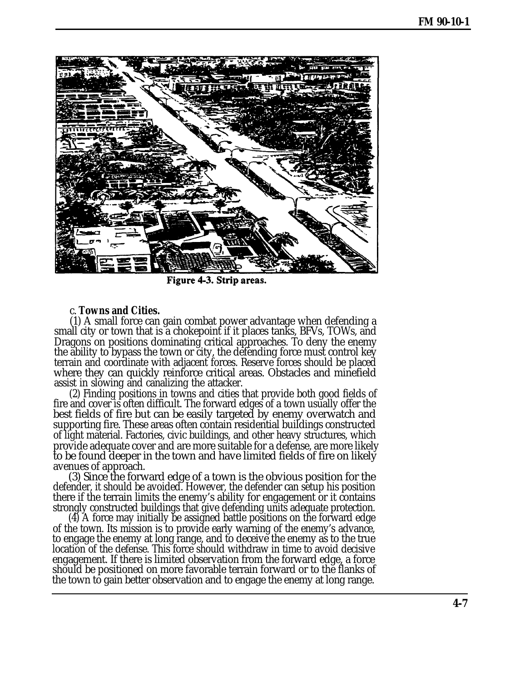<span id="page-6-0"></span>

Figure 4-3. Strip areas.

#### c. **Towns and Cities.**

(1) A small force can gain combat power advantage when defending a small city or town that is a chokepoint if it places tanks, BFVs, TOWs, and Dragons on positions dominating critical approaches. To deny the enemy the ability to bypass the town or city, the defending force must control key terrain and coordinate with adjacent forces. Reserve forces should be placed where they can quickly reinforce critical areas. Obstacles and minefield assist in slowing and canalizing the attacker.

(2) Finding positions in towns and cities that provide both good fields of fire and cover is often difficult. The forward edges of a town usually offer the best fields of fire but can be easily targeted by enemy overwatch and supporting fire. These areas often contain residential buildings constructed of light material. Factories, civic buildings, and other heavy structures, which provide adequate cover and are more suitable for a defense, are more likely to be found deeper in the town and have limited fields of fire on likely avenues of approach.

(3) Since the forward edge of a town is the obvious position for the defender, it should be avoided. However, the defender can setup his position there if the terrain limits the enemy's ability for engagement or it contains strongly constructed buildings that give defending units adequate protection.

(4) A force may initially be assigned battle positions on the forward edge of the town. Its mission is to provide early warning of the enemy's advance, to engage the enemy at long range, and to deceive the enemy as to the true location of the defense. This force should withdraw in time to avoid decisive engagement. If there is limited observation from the forward edge, a force should be positioned on more favorable terrain forward or to the flanks of the town to gain better observation and to engage the enemy at long range.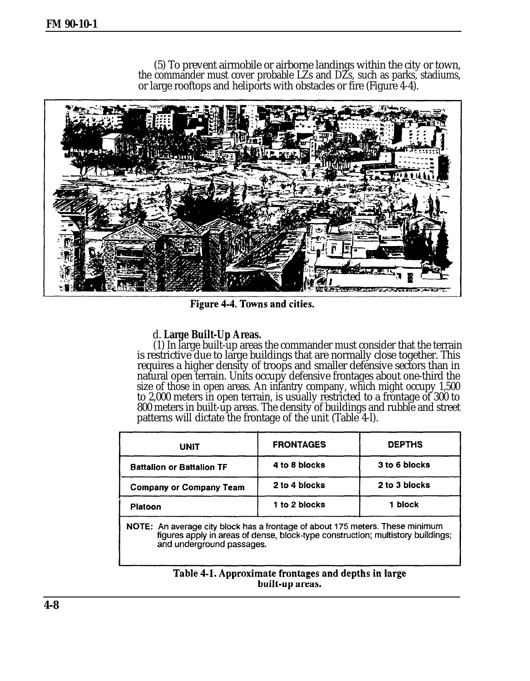(5) To prevent airmobile or airborne landings within the city or town, the commander must cover probable LZs and DZs, such as parks, stadiums, or large rooftops and heliports with obstacles or fire (Figure 4-4).



Figure 4-4. Towns and cities.

## d. **Large Built-Up Areas.**

(1) In large built-up areas the commander must consider that the terrain is restrictive due to large buildings that are normally close together. This requires a higher density of troops and smaller defensive sectors than in natural open terrain. Units occupy defensive frontages about one-third the size of those in open areas. An infantry company, which might occupy 1,500 to 2,000 meters in open terrain, is usually restricted to a frontage of 300 to 800 meters in built-up areas. The density of buildings and rubble and street patterns will dictate the frontage of the unit (Table 4-l).

| UNIT                                                                                                                                                                                          | <b>FRONTAGES</b> | <b>DEPTHS</b> |
|-----------------------------------------------------------------------------------------------------------------------------------------------------------------------------------------------|------------------|---------------|
| <b>Battalion or Battalion TF</b>                                                                                                                                                              | 4 to 8 blocks    | 3 to 6 blocks |
| <b>Company or Company Team</b>                                                                                                                                                                | 2 to 4 blocks    | 2 to 3 blocks |
| Platoon                                                                                                                                                                                       | 1 to 2 blocks    | 1 block       |
| NOTE: An average city block has a frontage of about 175 meters. These minimum<br>figures apply in areas of dense, block-type construction; multistory buildings;<br>and underground passages. |                  |               |

#### Table 4-1. Approximate frontages and depths in large built-up areas.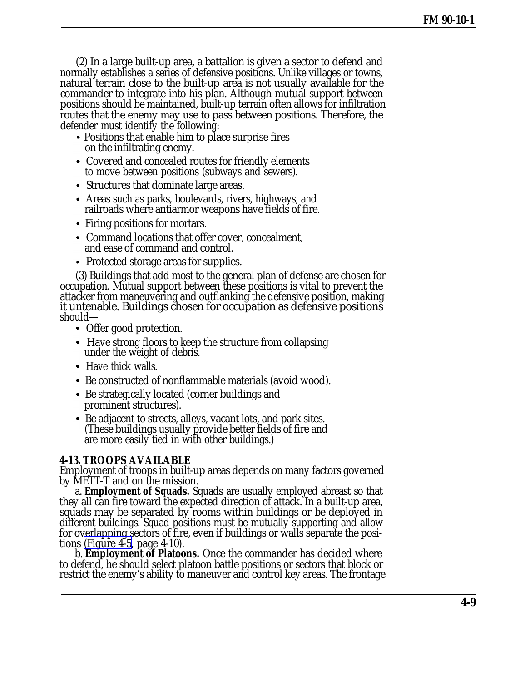(2) In a large built-up area, a battalion is given a sector to defend and normally establishes a series of defensive positions. Unlike villages or towns, natural terrain close to the built-up area is not usually available for the commander to integrate into his plan. Although mutual support between positions should be maintained, built-up terrain often allows for infiltration routes that the enemy may use to pass between positions. Therefore, the defender must identify the following:

- Positions that enable him to place surprise fires on the infiltrating enemy.
- Covered and concealed routes for friendly elements to move between positions (subways and sewers).
- Structures that dominate large areas.
- Areas such as parks, boulevards, rivers, highways, and railroads where antiarmor weapons have fields of fire.
- Firing positions for mortars.
- Command locations that offer cover, concealment, and ease of command and control.
- Protected storage areas for supplies.

(3) Buildings that add most to the general plan of defense are chosen for occupation. Mutual support between these positions is vital to prevent the attacker from maneuvering and outflanking the defensive position, making it untenable. Buildings chosen for occupation as defensive positions should—

- Offer good protection.
- Have strong floors to keep the structure from collapsing under the weight of debris.
- Have thick walls.
- Be constructed of nonflammable materials (avoid wood).
- Be strategically located (corner buildings and prominent structures).
- Be adjacent to streets, alleys, vacant lots, and park sites. (These buildings usually provide better fields of fire and are more easily tied in with other buildings.)

## **4-13. TROOPS AVAILABLE**

Employment of troops in built-up areas depends on many factors governed by METT-T and on the mission.

a. **Employment of Squads.** Squads are usually employed abreast so that they all can fire toward the expected direction of attack. In a built-up area, squads may be separated by rooms within buildings or be deployed in different buildings. Squad positions must be mutually supporting and allow for overlapping sectors of fire, even if buildings or walls separate the positions [\(Figure 4-5](#page-9-0), page 4-10).

b. **Employment of Platoons.** Once the commander has decided where to defend, he should select platoon battle positions or sectors that block or restrict the enemy's ability to maneuver and control key areas. The frontage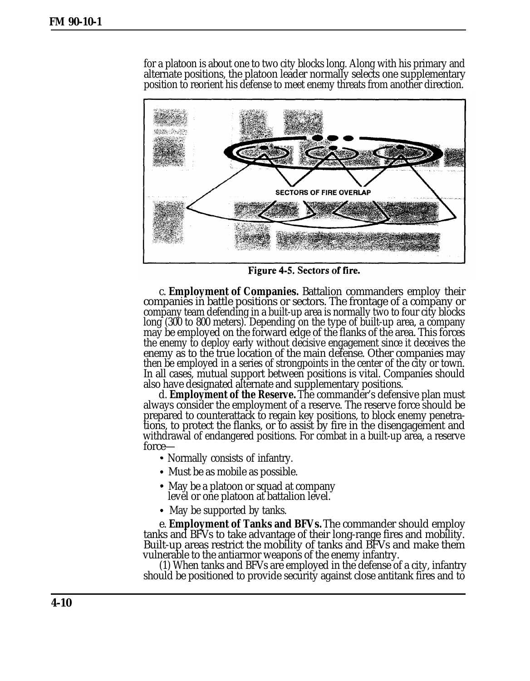<span id="page-9-0"></span>for a platoon is about one to two city blocks long. Along with his primary and alternate positions, the platoon leader normally selects one supplementary position to reorient his defense to meet enemy threats from another direction.



Figure 4-5. Sectors of fire.

c. **Employment of Companies.** Battalion commanders employ their companies in battle positions or sectors. The frontage of a company or company team defending in a built-up area is normally two to four city blocks long (300 to 800 meters). Depending on the type of built-up area, a company may be employed on the forward edge of the flanks of the area. This forces the enemy to deploy early without decisive engagement since it deceives the enemy as to the true location of the main defense. Other companies may then be employed in a series of strongpoints in the center of the city or town. In all cases, mutual support between positions is vital. Companies should also have designated alternate and supplementary positions.

d. **Employment of the Reserve.** The commander's defensive plan must always consider the employment of a reserve. The reserve force should be prepared to counterattack to regain key positions, to block enemy penetrations, to protect the flanks, or to assist by fire in the disengagement and withdrawal of endangered positions. For combat in a built-up area, a reserve force—

- Normally consists of infantry.
- Must be as mobile as possible.
- May be a platoon or squad at company level or one platoon at battalion level.
- May be supported by tanks.

e. **Employment of Tanks and BFVs.** The commander should employ tanks and BFVs to take advantage of their long-range fires and mobility. Built-up areas restrict the mobility of tanks and BFVs and make them vulnerable to the antiarmor weapons of the enemy infantry.

(1) When tanks and BFVs are employed in the defense of a city, infantry should be positioned to provide security against close antitank fires and to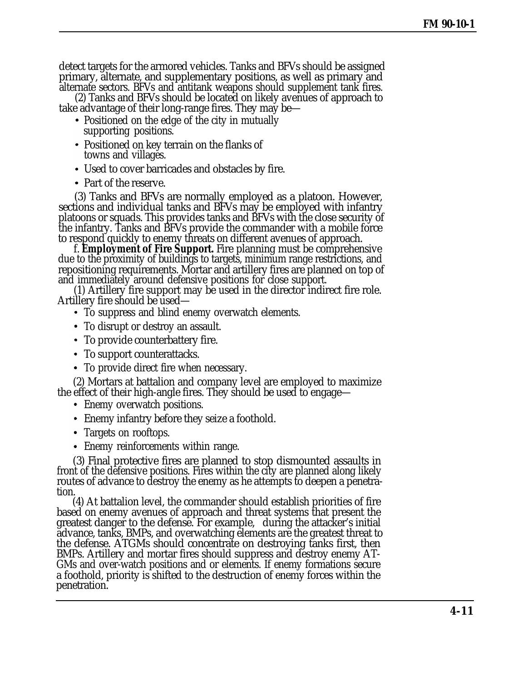detect targets for the armored vehicles. Tanks and BFVs should be assigned primary, alternate, and supplementary positions, as well as primary and alternate sectors. BFVs and antitank weapons should supplement tank fires.

(2) Tanks and BFVs should be located on likely avenues of approach to take advantage of their long-range fires. They may be—

- Positioned on the edge of the city in mutually supporting positions.
- Positioned on key terrain on the flanks of towns and villages.
- Used to cover barricades and obstacles by fire.
- Part of the reserve.

(3) Tanks and BFVs are normally employed as a platoon. However, sections and individual tanks and BFVs may be employed with infantry platoons or squads. This provides tanks and BFVs with the close security of the infantry. Tanks and BFVs provide the commander with a mobile force to respond quickly to enemy threats on different avenues of approach.

f. **Employment of Fire Support.** Fire planning must be comprehensive due to the proximity of buildings to targets, minimum range restrictions, and repositioning requirements. Mortar and artillery fires are planned on top of and immediately around defensive positions for close support.

(1) Artillery fire support may be used in the director indirect fire role. Artillery fire should be used—

- To suppress and blind enemy overwatch elements.
- To disrupt or destroy an assault.
- To provide counterbattery fire.
- To support counterattacks.
- To provide direct fire when necessary.

(2) Mortars at battalion and company level are employed to maximize the effect of their high-angle fires. They should be used to engage—

- Enemy overwatch positions.
- Enemy infantry before they seize a foothold.
- Targets on rooftops.
- Enemy reinforcements within range.

(3) Final protective fires are planned to stop dismounted assaults in front of the defensive positions. Fires within the city are planned along likely routes of advance to destroy the enemy as he attempts to deepen a penetration.

(4) At battalion level, the commander should establish priorities of fire based on enemy avenues of approach and threat systems that present the greatest danger to the defense. For example, during the attacker's initial advance, tanks, BMPs, and overwatching elements are the greatest threat to the defense. ATGMs should concentrate on destroying tanks first, then BMPs. Artillery and mortar fires should suppress and destroy enemy AT-GMs and over-watch positions and or elements. If enemy formations secure a foothold, priority is shifted to the destruction of enemy forces within the penetration.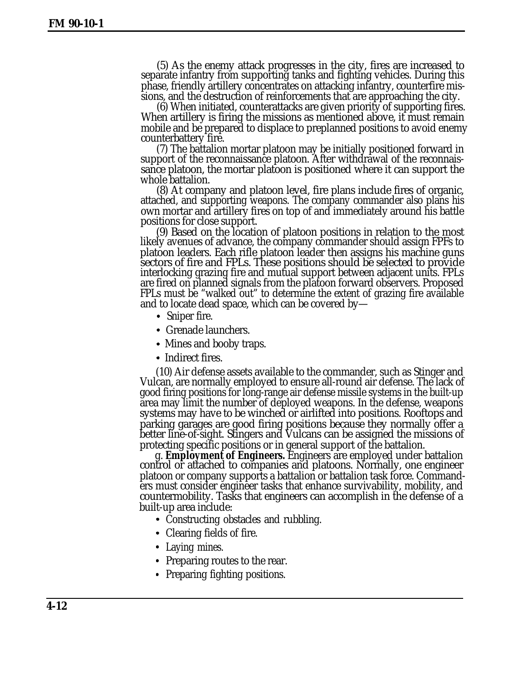(5) As the enemy attack progresses in the city, fires are increased to separate infantry from supporting tanks and fighting vehicles. During this phase, friendly artillery concentrates on attacking infantry, counterfire missions, and the destruction of reinforcements that are approaching the city.

(6) When initiated, counterattacks are given priority of supporting fires. When artillery is firing the missions as mentioned above, it must remain mobile and be prepared to displace to preplanned positions to avoid enemy counterbattery fire.

(7) The battalion mortar platoon may be initially positioned forward in support of the reconnaissance platoon. After withdrawal of the reconnaissance platoon, the mortar platoon is positioned where it can support the whole battalion.

(8) At company and platoon level, fire plans include fires of organic, attached, and supporting weapons. The company commander also plans his own mortar and artillery fires on top of and immediately around his battle positions for close support.

(9) Based on the location of platoon positions in relation to the most likely avenues of advance, the company commander should assign FPFs to platoon leaders. Each rifle platoon leader then assigns his machine guns sectors of fire and FPLs. These positions should be selected to provide interlocking grazing fire and mutual support between adjacent units. FPLs are fired on planned signals from the platoon forward observers. Proposed FPLs must be "walked out" to determine the extent of grazing fire available and to locate dead space, which can be covered by—

- Sniper fire.
- Grenade launchers.
- Mines and booby traps.
- Indirect fires.

(10) Air defense assets available to the commander, such as Stinger and Vulcan, are normally employed to ensure all-round air defense. The lack of good firing positions for long-range air defense missile systems in the built-up area may limit the number of deployed weapons. In the defense, weapons systems may have to be winched or airlifted into positions. Rooftops and parking garages are good firing positions because they normally offer a better line-of-sight. Stingers and Vulcans can be assigned the missions of protecting specific positions or in general support of the battalion.

g. **Employment of Engineers.** Engineers are employed under battalion control or attached to companies and platoons. Normally, one engineer platoon or company supports a battalion or battalion task force. Commanders must consider engineer tasks that enhance survivability, mobility, and countermobility. Tasks that engineers can accomplish in the defense of a built-up area include:

- Constructing obstacles and rubbling.
- Clearing fields of fire.
- Laying mines.
- Preparing routes to the rear.
- Preparing fighting positions.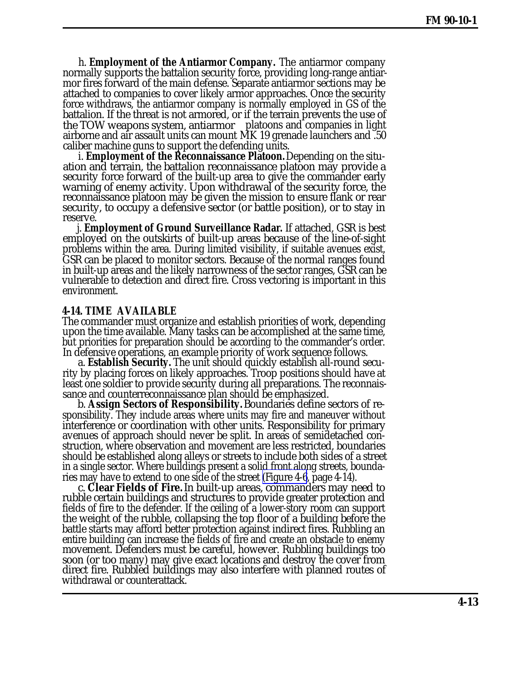h. **Employment of the Antiarmor Company.** The antiarmor company normally supports the battalion security force, providing long-range antiarmor fires forward of the main defense. Separate antiarmor sections may be attached to companies to cover likely armor approaches. Once the security force withdraws, the antiarmor company is normally employed in GS of the battalion. If the threat is not armored, or if the terrain prevents the use of the TOW weapons system, antiarmor platoons and companies in light airborne and air assault units can mount MK 19 grenade launchers and .50 caliber machine guns to support the defending units.

i. **Employment of the Reconnaissance Platoon.** Depending on the situation and terrain, the battalion reconnaissance platoon may provide a security force forward of the built-up area to give the commander early warning of enemy activity. Upon withdrawal of the security force, the reconnaissance platoon may be given the mission to ensure flank or rear security, to occupy a defensive sector (or battle position), or to stay in reserve.

j. **Employment of Ground Surveillance Radar.** If attached, GSR is best employed on the outskirts of built-up areas because of the line-of-sight problems within the area. During limited visibility, if suitable avenues exist, GSR can be placed to monitor sectors. Because of the normal ranges found in built-up areas and the likely narrowness of the sector ranges, GSR can be vulnerable to detection and direct fire. Cross vectoring is important in this environment.

#### **4-14. TIME AVAILABLE**

The commander must organize and establish priorities of work, depending upon the time available. Many tasks can be accomplished at the same time, but priorities for preparation should be according to the commander's order. In defensive operations, an example priority of work sequence follows.

a. **Establish Security.** The unit should quickly establish all-round security by placing forces on likely approaches. Troop positions should have at least one soldier to provide security during all preparations. The reconnaissance and counterreconnaissance plan should be emphasized.

b. **Assign Sectors of Responsibility.** Boundaries define sectors of responsibility. They include areas where units may fire and maneuver without interference or coordination with other units. Responsibility for primary avenues of approach should never be split. In areas of semidetached construction, where observation and movement are less restricted, boundaries should be established along alleys or streets to include both sides of a street in a single sector. Where buildings present a solid front along streets, boundaries may have to extend to one side of the street [\(Figure 4-6](#page-13-0), page 4-14).

c. **Clear Fields of Fire.** In built-up areas, commanders may need to rubble certain buildings and structures to provide greater protection and fields of fire to the defender. If the ceiling of a lower-story room can support the weight of the rubble, collapsing the top floor of a building before the battle starts may afford better protection against indirect fires. Rubbling an entire building can increase the fields of fire and create an obstacle to enemy movement. Defenders must be careful, however. Rubbling buildings too soon (or too many) may give exact locations and destroy the cover from direct fire. Rubbled buildings may also interfere with planned routes of withdrawal or counterattack.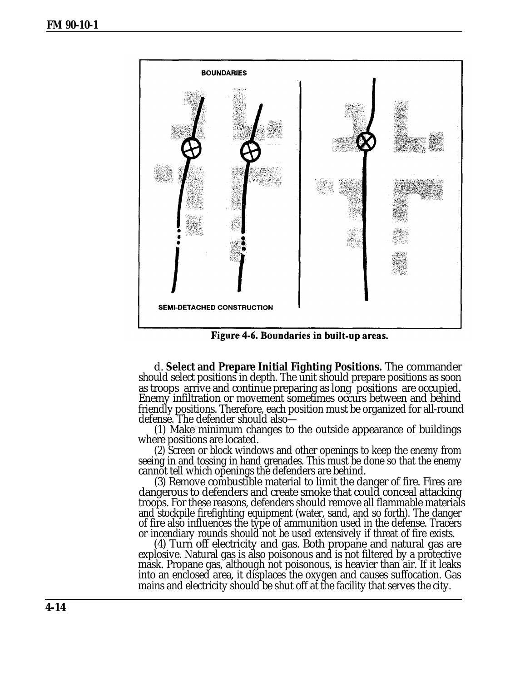<span id="page-13-0"></span>

Figure 4-6. Boundaries in built-up areas.

d. **Select and Prepare Initial Fighting Positions.** The commander should select positions in depth. The unit should prepare positions as soon as troops arrive and continue preparing as long positions are occupied. Enemy infiltration or movement sometimes occurs between and behind friendly positions. Therefore, each position must be organized for all-round defense. The defender should also-

(1) Make minimum changes to the outside appearance of buildings where positions are located.

(2) Screen or block windows and other openings to keep the enemy from seeing in and tossing in hand grenades. This must be done so that the enemy cannot tell which openings the defenders are behind.

(3) Remove combustible material to limit the danger of fire. Fires are dangerous to defenders and create smoke that could conceal attacking troops. For these reasons, defenders should remove all flammable materials and stockpile firefighting equipment (water, sand, and so forth). The danger of fire also influences the type of ammunition used in the defense. Tracers or incendiary rounds should not be used extensively if threat of fire exists.

(4) Turn off electricity and gas. Both propane and natural gas are explosive. Natural gas is also poisonous and is not filtered by a protective mask. Propane gas, although not poisonous, is heavier than air. If it leaks into an enclosed area, it displaces the oxygen and causes suffocation. Gas mains and electricity should be shut off at the facility that serves the city.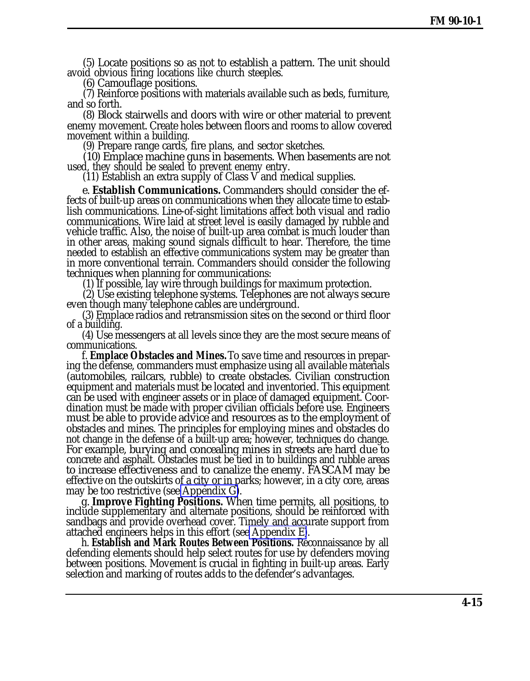(5) Locate positions so as not to establish a pattern. The unit should avoid obvious firing locations like church steeples.

(6) Camouflage positions.

(7) Reinforce positions with materials available such as beds, furniture, and so forth.

(8) Block stairwells and doors with wire or other material to prevent enemy movement. Create holes between floors and rooms to allow covered movement within a building.

(9) Prepare range cards, fire plans, and sector sketches.

(10) Emplace machine guns in basements. When basements are not used, they should be sealed to prevent enemy entry.

(11) Establish an extra supply of Class V and medical supplies.

e. **Establish Communications.** Commanders should consider the effects of built-up areas on communications when they allocate time to establish communications. Line-of-sight limitations affect both visual and radio communications. Wire laid at street level is easily damaged by rubble and vehicle traffic. Also, the noise of built-up area combat is much louder than in other areas, making sound signals difficult to hear. Therefore, the time needed to establish an effective communications system may be greater than in more conventional terrain. Commanders should consider the following techniques when planning for communications:

(1) If possible, lay wire through buildings for maximum protection.

(2) Use existing telephone systems. Telephones are not always secure even though many telephone cables are underground.

(3) Emplace radios and retransmission sites on the second or third floor of a building.

(4) Use messengers at all levels since they are the most secure means of communications.

f. **Emplace Obstacles and Mines.** To save time and resources in preparing the defense, commanders must emphasize using all available materials (automobiles, railcars, rubble) to create obstacles. Civilian construction equipment and materials must be located and inventoried. This equipment can be used with engineer assets or in place of damaged equipment. Coordination must be made with proper civilian officials before use. Engineers must be able to provide advice and resources as to the employment of obstacles and mines. The principles for employing mines and obstacles do not change in the defense of a built-up area; however, techniques do change. For example, burying and concealing mines in streets are hard due to concrete and asphalt. Obstacles must be tied in to buildings and rubble areas to increase effectiveness and to canalize the enemy. FASCAM may be effective on the outskirts of a city or in parks; however, in a city core, areas may be too restrictive (see [Appendix G\)](#page-0-0).

g. **Improve Fighting Positions.** When time permits, all positions, to include supplementary and alternate positions, should be reinforced with sandbags and provide overhead cover. Timely and accurate support from attached engineers helps in this effort (see [Appendix E\)](#page-0-0).

h. **Establish and Mark Routes Between Positions.** Reconnaissance by all defending elements should help select routes for use by defenders moving between positions. Movement is crucial in fighting in built-up areas. Early selection and marking of routes adds to the defender's advantages.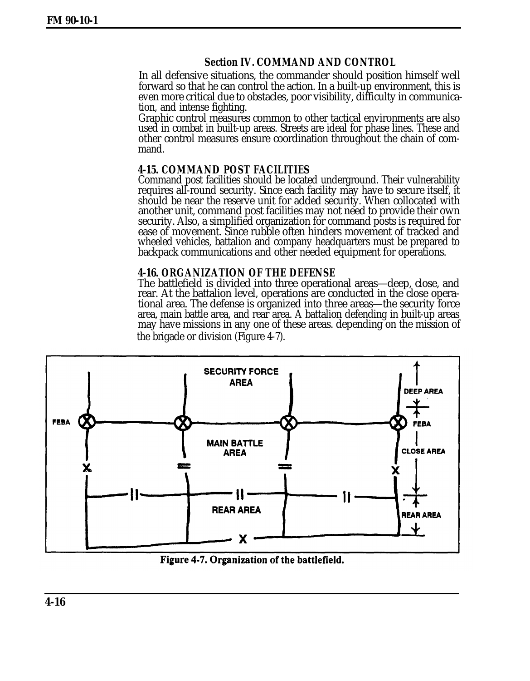## **Section IV. COMMAND AND CONTROL**

In all defensive situations, the commander should position himself well forward so that he can control the action. In a built-up environment, this is even more critical due to obstacles, poor visibility, difficulty in communication, and intense fighting.

Graphic control measures common to other tactical environments are also used in combat in built-up areas. Streets are ideal for phase lines. These and other control measures ensure coordination throughout the chain of command.

## **4-15. COMMAND POST FACILITIES**

Command post facilities should be located underground. Their vulnerability requires all-round security. Since each facility may have to secure itself, it should be near the reserve unit for added security. When collocated with another unit, command post facilities may not need to provide their own security. Also, a simplified organization for command posts is required for ease of movement. Since rubble often hinders movement of tracked and wheeled vehicles, battalion and company headquarters must be prepared to backpack communications and other needed equipment for operations.

### **4-16. ORGANIZATION OF THE DEFENSE**

The battlefield is divided into three operational areas—deep, close, and rear. At the battalion level, operations are conducted in the close operational area. The defense is organized into three areas—the security force area, main battle area, and rear area. A battalion defending in built-up areas may have missions in any one of these areas. depending on the mission of the brigade or division (Figure 4-7).



Figure 4-7. Organization of the battlefield.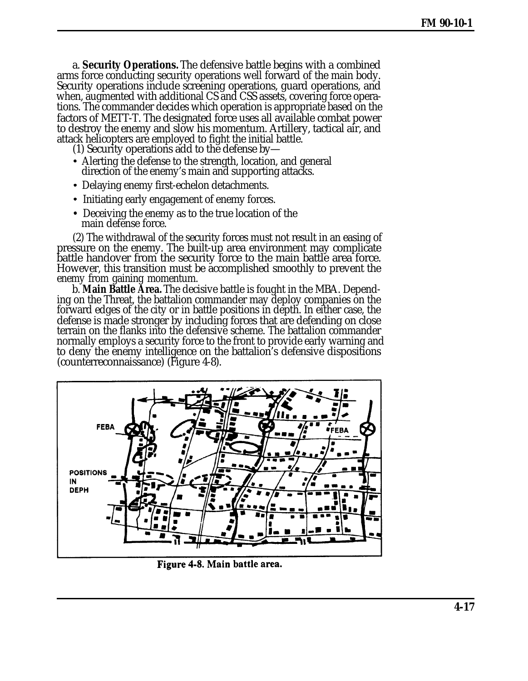a. **Security Operations.** The defensive battle begins with a combined arms force conducting security operations well forward of the main body. Security operations include screening operations, guard operations, and when, augmented with additional CS and CSS assets, covering force operations. The commander decides which operation is appropriate based on the factors of METT-T. The designated force uses all available combat power to destroy the enemy and slow his momentum. Artillery, tactical air, and attack helicopters are employed to fight the initial battle.

(1) Security operations add to the defense by—

- Alerting the defense to the strength, location, and general direction of the enemy's main and supporting attacks.
- Delaying enemy first-echelon detachments.
- Initiating early engagement of enemy forces.
- Deceiving the enemy as to the true location of the main defense force.

(2) The withdrawal of the security forces must not result in an easing of pressure on the enemy. The built-up area environment may complicate battle handover from the security force to the main battle area force. However, this transition must be accomplished smoothly to prevent the enemy from gaining momentum.

b. **Main Battle Area.** The decisive battle is fought in the MBA. Depending on the Threat, the battalion commander may deploy companies on the forward edges of the city or in battle positions in depth. In either case, the defense is made stronger by including forces that are defending on close terrain on the flanks into the defensive scheme. The battalion commander normally employs a security force to the front to provide early warning and to deny the enemy intelligence on the battalion's defensive dispositions (counterreconnaissance) (Figure 4-8).



Figure 4-8. Main battle area.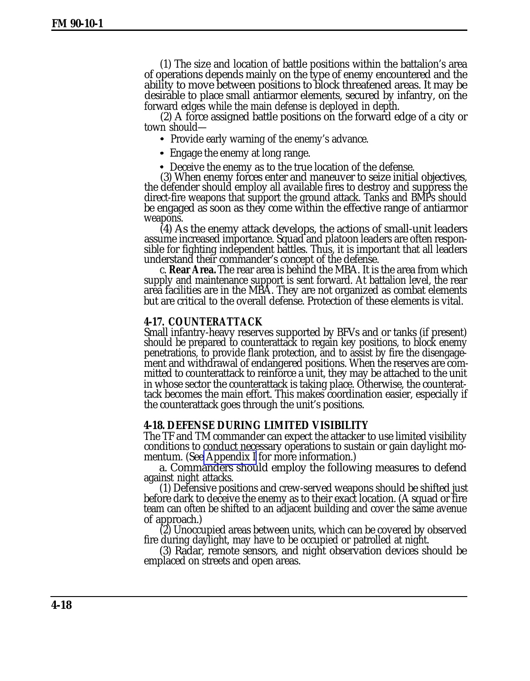<span id="page-17-0"></span>(1) The size and location of battle positions within the battalion's area of operations depends mainly on the type of enemy encountered and the ability to move between positions to block threatened areas. It may be desirable to place small antiarmor elements, secured by infantry, on the forward edges while the main defense is deployed in depth.

(2) A force assigned battle positions on the forward edge of a city or town should—

- Provide early warning of the enemy's advance.
- Engage the enemy at long range.

• Deceive the enemy as to the true location of the defense.

(3) When enemy forces enter and maneuver to seize initial objectives, the defender should employ all available fires to destroy and suppress the direct-fire weapons that support the ground attack. Tanks and BMPs should be engaged as soon as they come within the effective range of antiarmor weapons.

(4) As the enemy attack develops, the actions of small-unit leaders assume increased importance. Squad and platoon leaders are often responsible for fighting independent battles. Thus, it is important that all leaders understand their commander's concept of the defense.

c. **Rear Area.** The rear area is behind the MBA. It is the area from which supply and maintenance support is sent forward. At battalion level, the rear area facilities are in the MBA. They are not organized as combat elements but are critical to the overall defense. Protection of these elements is vital.

#### **4-17. COUNTERATTACK**

Small infantry-heavy reserves supported by BFVs and or tanks (if present) should be prepared to counterattack to regain key positions, to block enemy penetrations, to provide flank protection, and to assist by fire the disengagement and withdrawal of endangered positions. When the reserves are committed to counterattack to reinforce a unit, they may be attached to the unit in whose sector the counterattack is taking place. Otherwise, the counterattack becomes the main effort. This makes coordination easier, especially if the counterattack goes through the unit's positions.

#### **4-18. DEFENSE DURING LIMITED VISIBILITY**

The TF and TM commander can expect the attacker to use limited visibility conditions to conduct necessary operations to sustain or gain daylight momentum. (See [Appendix I](#page-0-0) for more information.)

a. Commanders should employ the following measures to defend against night attacks.

(1) Defensive positions and crew-served weapons should be shifted just before dark to deceive the enemy as to their exact location. (A squad or fire team can often be shifted to an adjacent building and cover the same avenue of approach.)

(2) Unoccupied areas between units, which can be covered by observed fire during daylight, may have to be occupied or patrolled at night.

(3) Radar, remote sensors, and night observation devices should be emplaced on streets and open areas.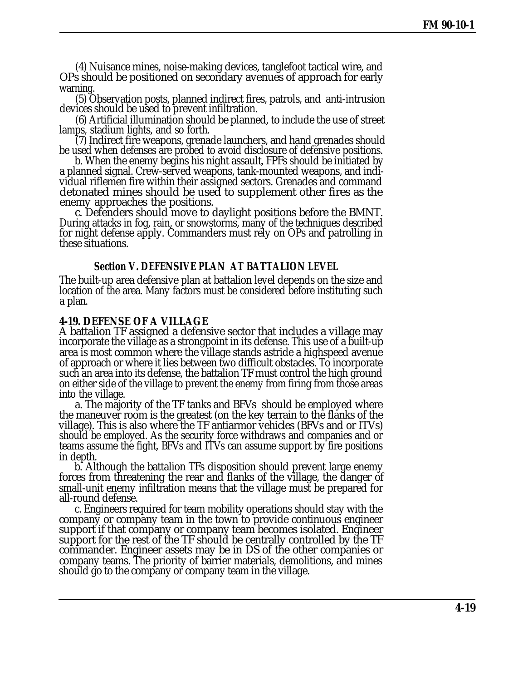(4) Nuisance mines, noise-making devices, tanglefoot tactical wire, and OPs should be positioned on secondary avenues of approach for early warning.

(5) Observation posts, planned indirect fires, patrols, and anti-intrusion devices should be used to prevent infiltration.

(6) Artificial illumination should be planned, to include the use of street lamps, stadium lights, and so forth.

(7) Indirect fire weapons, grenade launchers, and hand grenades should be used when defenses are probed to avoid disclosure of defensive positions.

b. When the enemy begins his night assault, FPFs should be initiated by a planned signal. Crew-served weapons, tank-mounted weapons, and individual riflemen fire within their assigned sectors. Grenades and command detonated mines should be used to supplement other fires as the enemy approaches the positions.

c. Defenders should move to daylight positions before the BMNT. During attacks in fog, rain, or snowstorms, many of the techniques described for night defense apply. Commanders must rely on OPs and patrolling in these situations.

#### **Section V. DEFENSIVE PLAN AT BATTALION LEVEL**

The built-up area defensive plan at battalion level depends on the size and location of the area. Many factors must be considered before instituting such a plan.

#### **4-19. DEFENSE OF A VILLAGE**

A battalion TF assigned a defensive sector that includes a village may incorporate the village as a strongpoint in its defense. This use of a built-up area is most common where the village stands astride a highspeed avenue of approach or where it lies between two difficult obstacles. To incorporate such an area into its defense, the battalion TF must control the high ground on either side of the village to prevent the enemy from firing from those areas into the village.

a. The majority of the TF tanks and BFVs should be employed where the maneuver room is the greatest (on the key terrain to the flanks of the village). This is also where the TF antiarmor vehicles (BFVs and or ITVs) should be employed. As the security force withdraws and companies and or teams assume the fight, BFVs and ITVs can assume support by fire positions in depth.

b. Although the battalion TFs disposition should prevent large enemy forces from threatening the rear and flanks of the village, the danger of small-unit enemy infiltration means that the village must be prepared for all-round defense.

c. Engineers required for team mobility operations should stay with the company or company team in the town to provide continuous engineer support if that company or company team becomes isolated. Engineer support for the rest of the TF should be centrally controlled by the TF commander. Engineer assets may be in DS of the other companies or company teams. The priority of barrier materials, demolitions, and mines should go to the company or company team in the village.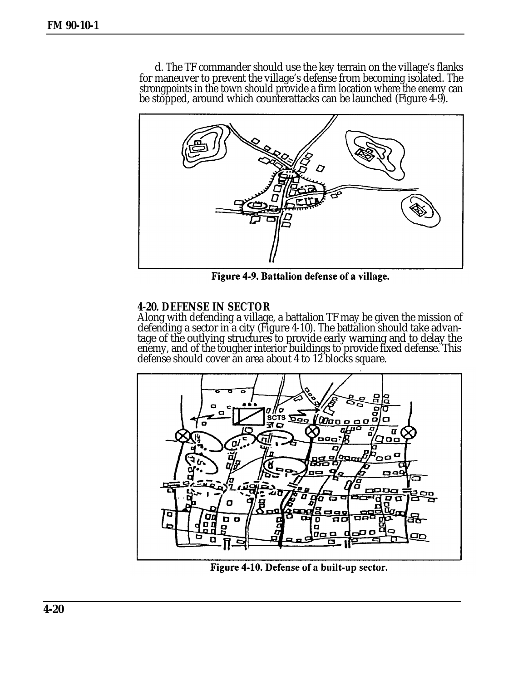d. The TF commander should use the key terrain on the village's flanks for maneuver to prevent the village's defense from becoming isolated. The strongpoints in the town should provide a firm location where the enemy can be stopped, around which counterattacks can be launched (Figure 4-9).



Figure 4-9. Battalion defense of a village.

## **4-20. DEFENSE IN SECTOR**

Along with defending a village, a battalion TF may be given the mission of defending a sector in a city (Figure 4-10). The battalion should take advantage of the outlying structures to provide early warning and to delay the enemy, and of the tougher interior buildings to provide fixed defense. This defense should cover an area about 4 to 12 blocks square.



Figure 4-10. Defense of a built-up sector.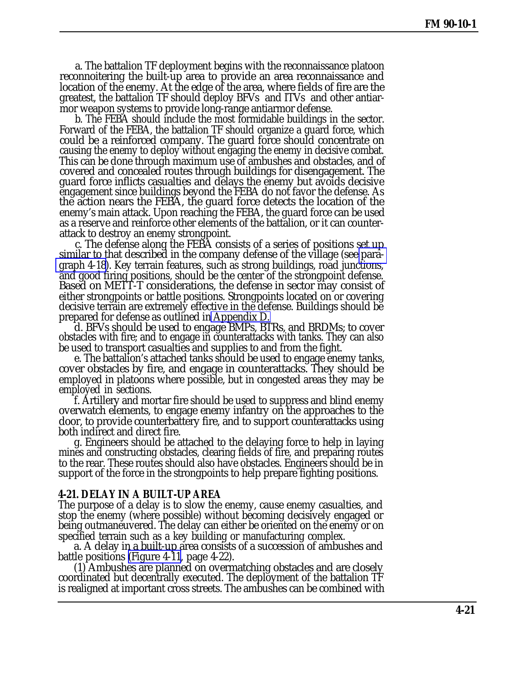a. The battalion TF deployment begins with the reconnaissance platoon reconnoitering the built-up area to provide an area reconnaissance and location of the enemy. At the edge of the area, where fields of fire are the greatest, the battalion TF should deploy BFVs and ITVs and other antiarmor weapon systems to provide long-range antiarmor defense.

b. The FEBA should include the most formidable buildings in the sector. Forward of the FEBA, the battalion TF should organize a guard force, which could be a reinforced company. The guard force should concentrate on causing the enemy to deploy without engaging the enemy in decisive combat. This can be done through maximum use of ambushes and obstacles, and of covered and concealed routes through buildings for disengagement. The guard force inflicts casualties and delays the enemy but avoids decisive engagement since buildings beyond the FEBA do not favor the defense. As the action nears the FEBA, the guard force detects the location of the enemy's main attack. Upon reaching the FEBA, the guard force can be used as a reserve and reinforce other elements of the battalion, or it can counterattack to destroy an enemy strongpoint.

c. The defense along the FEBA consists of a series of positions set up similar to that described in the company defense of the village (see [para](#page-17-0)[graph 4-18\)](#page-17-0). Key terrain features, such as strong buildings, road junctions, and good firing positions, should be the center of the strongpoint defense. Based on METT-T considerations, the defense in sector may consist of either strongpoints or battle positions. Strongpoints located on or covering decisive terrain are extremely effective in the defense. Buildings should be prepared for defense as outlined in [Appendix D.](#page-0-0)

d. BFVs should be used to engage BMPs, BTRs, and BRDMs; to cover obstacles with fire; and to engage in counterattacks with tanks. They can also be used to transport casualties and supplies to and from the fight.

e. The battalion's attached tanks should be used to engage enemy tanks, cover obstacles by fire, and engage in counterattacks. They should be employed in platoons where possible, but in congested areas they may be employed in sections.

f. Artillery and mortar fire should be used to suppress and blind enemy overwatch elements, to engage enemy infantry on the approaches to the door, to provide counterbattery fire, and to support counterattacks using both indirect and direct fire.

g. Engineers should be attached to the delaying force to help in laying mines and constructing obstacles, clearing fields of fire, and preparing routes to the rear. These routes should also have obstacles. Engineers should be in support of the force in the strongpoints to help prepare fighting positions.

### **4-21. DELAY IN A BUILT-UP AREA**

The purpose of a delay is to slow the enemy, cause enemy casualties, and stop the enemy (where possible) without becoming decisively engaged or being outmaneuvered. The delay can either be oriented on the enemy or on specified terrain such as a key building or manufacturing complex.

a. A delay in a built-up area consists of a succession of ambushes and battle positions [\(Figure 4-11,](#page-21-0) page 4-22).

(1) Ambushes are planned on overmatching obstacles and are closely coordinated but decentrally executed. The deployment of the battalion TF is realigned at important cross streets. The ambushes can be combined with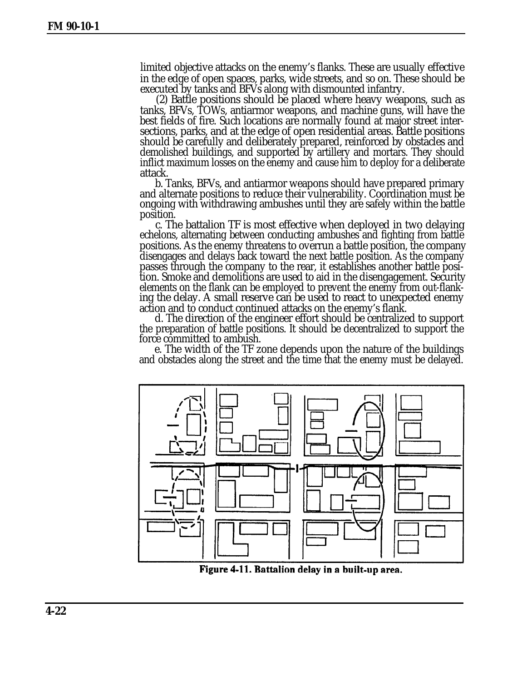<span id="page-21-0"></span>limited objective attacks on the enemy's flanks. These are usually effective in the edge of open spaces, parks, wide streets, and so on. These should be executed by tanks and BFVs along with dismounted infantry.

(2) Battle positions should be placed where heavy weapons, such as tanks, BFVs, TOWs, antiarmor weapons, and machine guns, will have the best fields of fire. Such locations are normally found at major street intersections, parks, and at the edge of open residential areas. Battle positions should be carefully and deliberately prepared, reinforced by obstacles and demolished buildings, and supported by artillery and mortars. They should inflict maximum losses on the enemy and cause him to deploy for a deliberate attack.

b. Tanks, BFVs, and antiarmor weapons should have prepared primary and alternate positions to reduce their vulnerability. Coordination must be ongoing with withdrawing ambushes until they are safely within the battle position.

c. The battalion TF is most effective when deployed in two delaying echelons, alternating between conducting ambushes and fighting from battle positions. As the enemy threatens to overrun a battle position, the company disengages and delays back toward the next battle position. As the company passes through the company to the rear, it establishes another battle position. Smoke and demolitions are used to aid in the disengagement. Security elements on the flank can be employed to prevent the enemy from out-flanking the delay. A small reserve can be used to react to unexpected enemy action and to conduct continued attacks on the enemy's flank.

d. The direction of the engineer effort should be centralized to support the preparation of battle positions. It should be decentralized to support the force committed to ambush.

e. The width of the TF zone depends upon the nature of the buildings and obstacles along the street and the time that the enemy must be delayed.



Figure 4-11. Battalion delay in a built-up area.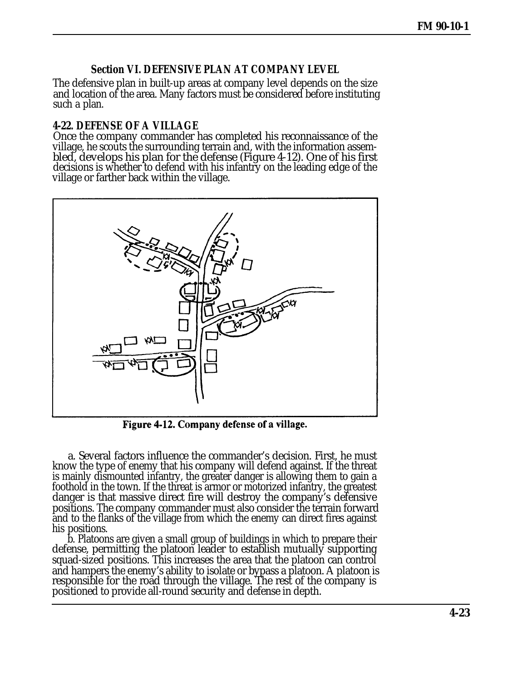## **Section VI. DEFENSIVE PLAN AT COMPANY LEVEL**

The defensive plan in built-up areas at company level depends on the size and location of the area. Many factors must be considered before instituting such a plan.

### **4-22. DEFENSE OF A VILLAGE**

Once the company commander has completed his reconnaissance of the village, he scouts the surrounding terrain and, with the information assembled, develops his plan for the defense (Figure 4-12). One of his first decisions is whether to defend with his infantry on the leading edge of the village or farther back within the village.



Figure 4-12. Company defense of a village.

a. Several factors influence the commander's decision. First, he must know the type of enemy that his company will defend against. If the threat is mainly dismounted infantry, the greater danger is allowing them to gain a foothold in the town. If the threat is armor or motorized infantry, the greatest danger is that massive direct fire will destroy the company's defensive positions. The company commander must also consider the terrain forward and to the flanks of the village from which the enemy can direct fires against his positions.

b. Platoons are given a small group of buildings in which to prepare their defense, permitting the platoon leader to establish mutually supporting squad-sized positions. This increases the area that the platoon can control and hampers the enemy's ability to isolate or bypass a platoon. A platoon is responsible for the road through the village. The rest of the company is positioned to provide all-round security and defense in depth.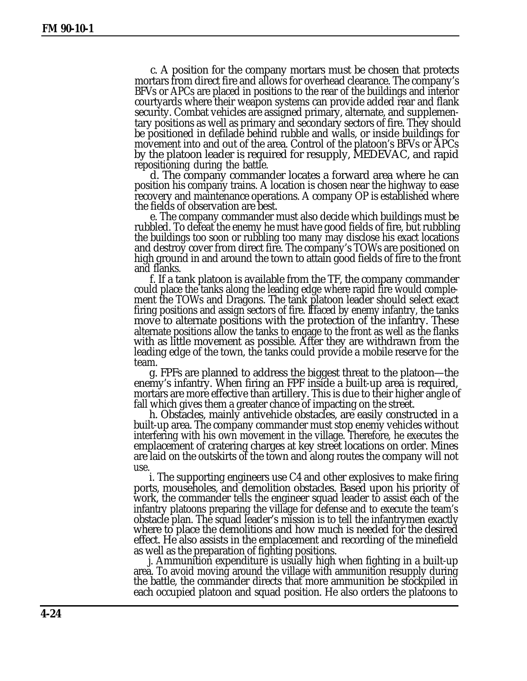c. A position for the company mortars must be chosen that protects mortars from direct fire and allows for overhead clearance. The company's BFVs or APCs are placed in positions to the rear of the buildings and interior courtyards where their weapon systems can provide added rear and flank security. Combat vehicles are assigned primary, alternate, and supplementary positions as well as primary and secondary sectors of fire. They should be positioned in defilade behind rubble and walls, or inside buildings for movement into and out of the area. Control of the platoon's BFVs or APCs by the platoon leader is required for resupply, MEDEVAC, and rapid . repositioning during the battle.

d. The company commander locates a forward area where he can position his company trains. A location is chosen near the highway to ease recovery and maintenance operations. A company OP is established where the fields of observation are best.

e. The company commander must also decide which buildings must be rubbled. To defeat the enemy he must have good fields of fire, but rubbling the buildings too soon or rubbling too many may disclose his exact locations and destroy cover from direct fire. The company's TOWs are positioned on high ground in and around the town to attain good fields of fire to the front and flanks.

f. If a tank platoon is available from the TF, the company commander could place the tanks along the leading edge where rapid fire would complement the TOWs and Dragons. The tank platoon leader should select exact firing positions and assign sectors of fire. If faced by enemy infantry, the tanks move to alternate positions with the protection of the infantry. These alternate positions allow the tanks to engage to the front as well as the flanks with as little movement as possible. After they are withdrawn from the leading edge of the town, the tanks could provide a mobile reserve for the team.

g. FPFs are planned to address the biggest threat to the platoon—the enemy's infantry. When firing an FPF inside a built-up area is required, mortars are more effective than artillery. This is due to their higher angle of fall which gives them a greater chance of impacting on the street.

h. Obstacles, mainly antivehicle obstacles, are easily constructed in a built-up area. The company commander must stop enemy vehicles without interfering with his own movement in the village. Therefore, he executes the emplacement of cratering charges at key street locations on order. Mines are laid on the outskirts of the town and along routes the company will not use.

i. The supporting engineers use C4 and other explosives to make firing ports, mouseholes, and demolition obstacles. Based upon his priority of work, the commander tells the engineer squad leader to assist each of the infantry platoons preparing the village for defense and to execute the team's obstacle plan. The squad leader's mission is to tell the infantrymen exactly where to place the demolitions and how much is needed for the desired effect. He also assists in the emplacement and recording of the minefield as well as the preparation of fighting positions.

j. Ammunition expenditure is usually high when fighting in a built-up area. To avoid moving around the village with ammunition resupply during the battle, the commander directs that more ammunition be stockpiled in each occupied platoon and squad position. He also orders the platoons to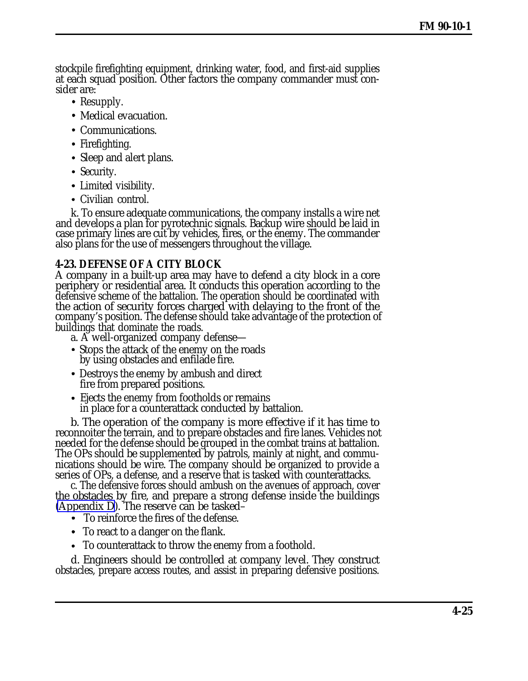stockpile firefighting equipment, drinking water, food, and first-aid supplies at each squad position. Other factors the company commander must consider are:

- Resupply.
- Medical evacuation.
- Communications.
- Firefighting.
- Sleep and alert plans.
- Security.
- Limited visibility.
- Civilian control.

k. To ensure adequate communications, the company installs a wire net and develops a plan for pyrotechnic signals. Backup wire should be laid in case primary lines are cut by vehicles, fires, or the enemy. The commander also plans for the use of messengers throughout the village.

# **4-23. DEFENSE OF A CITY BLOCK**

A company in a built-up area may have to defend a city block in a core periphery or residential area. It conducts this operation according to the defensive scheme of the battalion. The operation should be coordinated with the action of security forces charged with delaying to the front of the company's position. The defense should take advantage of the protection of buildings that dominate the roads.

a. A well-organized company defense—

- Stops the attack of the enemy on the roads by using obstacles and enfilade fire.
- Destroys the enemy by ambush and direct fire from prepared positions.
- Ejects the enemy from footholds or remains in place for a counterattack conducted by battalion.

b. The operation of the company is more effective if it has time to reconnoiter the terrain, and to prepare obstacles and fire lanes. Vehicles not needed for the defense should be grouped in the combat trains at battalion. The OPs should be supplemented by patrols, mainly at night, and communications should be wire. The company should be organized to provide a series of OPs, a defense, and a reserve that is tasked with counterattacks.

c. The defensive forces should ambush on the avenues of approach, cover the obstacles by fire, and prepare a strong defense inside the buildings [\(Appendix D\)](#page-0-0). The reserve can be tasked–

- To reinforce the fires of the defense.
- To react to a danger on the flank.
- To counterattack to throw the enemy from a foothold.

d. Engineers should be controlled at company level. They construct obstacles, prepare access routes, and assist in preparing defensive positions.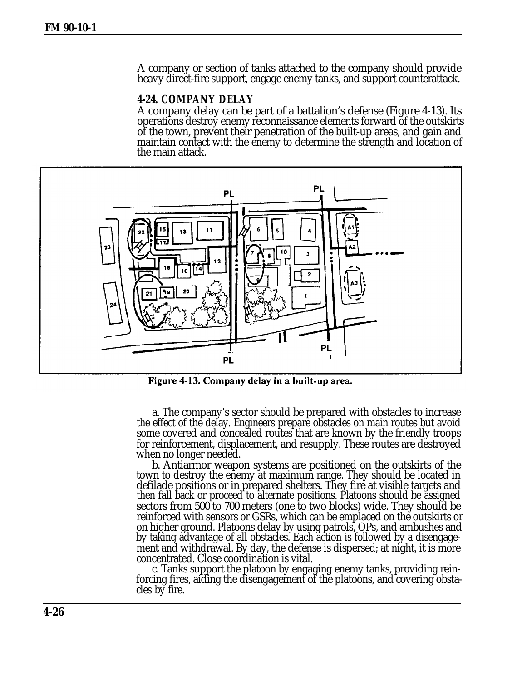A company or section of tanks attached to the company should provide heavy direct-fire support, engage enemy tanks, and support counterattack.

#### **4-24. COMPANY DELAY**

A company delay can be part of a battalion's defense (Figure 4-13). Its operations destroy enemy reconnaissance elements forward of the outskirts of the town, prevent their penetration of the built-up areas, and gain and maintain contact with the enemy to determine the strength and location of the main attack.



Figure 4-13. Company delay in a built-up area.

a. The company's sector should be prepared with obstacles to increase the effect of the delay. Engineers prepare obstacles on main routes but avoid some covered and concealed routes that are known by the friendly troops for reinforcement, displacement, and resupply. These routes are destroyed when no longer needed.

b. Antiarmor weapon systems are positioned on the outskirts of the town to destroy the enemy at maximum range. They should be located in defilade positions or in prepared shelters. They fire at visible targets and then fall back or proceed to alternate positions. Platoons should be assigned sectors from 500 to 700 meters (one to two blocks) wide. They should be reinforced with sensors or GSRs, which can be emplaced on the outskirts or on higher ground. Platoons delay by using patrols, OPs, and ambushes and by taking advantage of all obstacles. Each action is followed by a disengagement and withdrawal. By day, the defense is dispersed; at night, it is more concentrated. Close coordination is vital.

c. Tanks support the platoon by engaging enemy tanks, providing reinforcing fires, aiding the disengagement of the platoons, and covering obstacles by fire.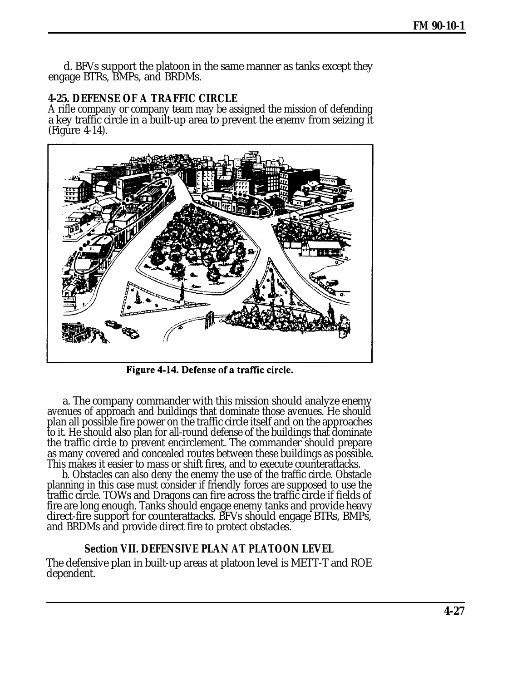d. BFVs support the platoon in the same manner as tanks except they engage BTRs, BMPs, and BRDMs.

## **4-25. DEFENSE OF A TRAFFIC CIRCLE**

A rifle company or company team may be assigned the mission of defending a key traffic circle in a built-up area to prevent the enemv from seizing it (Figure 4-14).



Figure 4-14. Defense of a traffic circle.

a. The company commander with this mission should analyze enemy avenues of approach and buildings that dominate those avenues. He should plan all possible fire power on the traffic circle itself and on the approaches to it. He should also plan for all-round defense of the buildings that dominate the traffic circle to prevent encirclement. The commander should prepare as many covered and concealed routes between these buildings as possible. This makes it easier to mass or shift fires, and to execute counterattacks.

b. Obstacles can also deny the enemy the use of the traffic circle. Obstacle planning in this case must consider if friendly forces are supposed to use the traffic circle. TOWs and Dragons can fire across the traffic circle if fields of fire are long enough. Tanks should engage enemy tanks and provide heavy direct-fire support for counterattacks. BFVs should engage BTRs, BMPs, and BRDMs and provide direct fire to protect obstacles.

## **Section VII. DEFENSIVE PLAN AT PLATOON LEVEL**

The defensive plan in built-up areas at platoon level is METT-T and ROE dependent.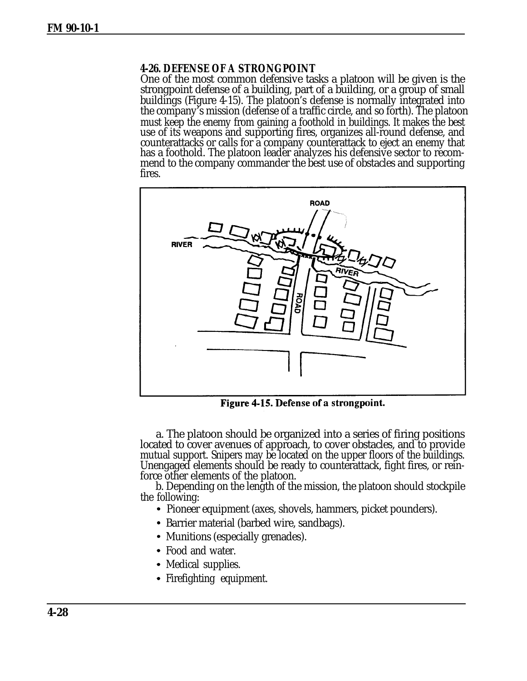### **4-26. DEFENSE OF A STRONGPOINT**

One of the most common defensive tasks a platoon will be given is the strongpoint defense of a building, part of a building, or a group of small buildings (Figure 4-15). The platoon's defense is normally integrated into the company's mission (defense of a traffic circle, and so forth). The platoon must keep the enemy from gaining a foothold in buildings. It makes the best use of its weapons and supporting fires, organizes all-round defense, and counterattacks or calls for a company counterattack to eject an enemy that has a foothold. The platoon leader analyzes his defensive sector to recommend to the company commander the best use of obstacles and supporting fires.



Figure 4-15. Defense of a strongpoint.

a. The platoon should be organized into a series of firing positions located to cover avenues of approach, to cover obstacles, and to provide mutual support. Snipers may be located on the upper floors of the buildings. Unengaged elements should be ready to counterattack, fight fires, or reinforce other elements of the platoon.

b. Depending on the length of the mission, the platoon should stockpile the following:

- Pioneer equipment (axes, shovels, hammers, picket pounders).
- Barrier material (barbed wire, sandbags).
- Munitions (especially grenades).
- Food and water.
- Medical supplies.
- Firefighting equipment.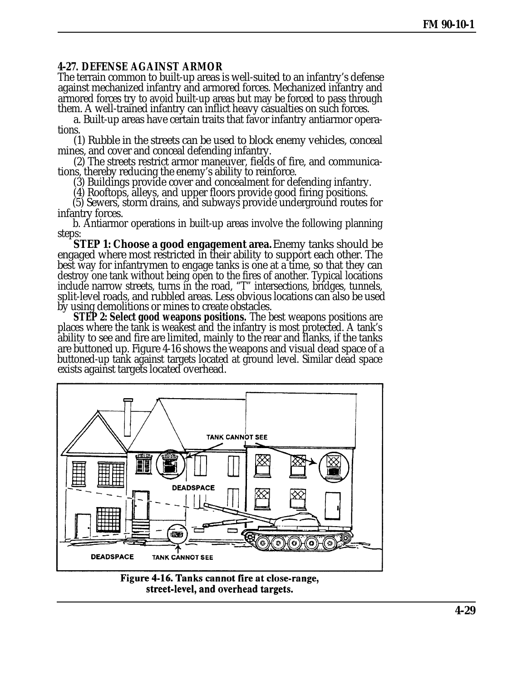## **4-27. DEFENSE AGAINST ARMOR**

The terrain common to built-up areas is well-suited to an infantry's defense against mechanized infantry and armored forces. Mechanized infantry and armored forces try to avoid built-up areas but may be forced to pass through them. A well-trained infantry can inflict heavy casualties on such forces.

a. Built-up areas have certain traits that favor infantry antiarmor operations.

(1) Rubble in the streets can be used to block enemy vehicles, conceal mines, and cover and conceal defending infantry.

(2) The streets restrict armor maneuver, fields of fire, and communications, thereby reducing the enemy's ability to reinforce.

(3) Buildings provide cover and concealment for defending infantry.

(4) Rooftops, alleys, and upper floors provide good firing positions.

(5) Sewers, storm drains, and subways provide underground routes for infantry forces.

b. Antiarmor operations in built-up areas involve the following planning steps:

**STEP 1: Choose a good engagement area.** Enemy tanks should be engaged where most restricted in their ability to support each other. The best way for infantrymen to engage tanks is one at a time, so that they can destroy one tank without being open to the fires of another. Typical locations include narrow streets, turns in the road, "T" intersections, bridges, tunnels, split-level roads, and rubbled areas. Less obvious locations can also be used by using demolitions or mines to create obstacles.

**STEP 2: Select good weapons positions.** The best weapons positions are places where the tank is weakest and the infantry is most protected. A tank's ability to see and fire are limited, mainly to the rear and flanks, if the tanks are buttoned up. Figure 4-16 shows the weapons and visual dead space of a buttoned-up tank against targets located at ground level. Similar dead space exists against targets located overhead.



Figure 4-16. Tanks cannot fire at close-range, street-level, and overhead targets.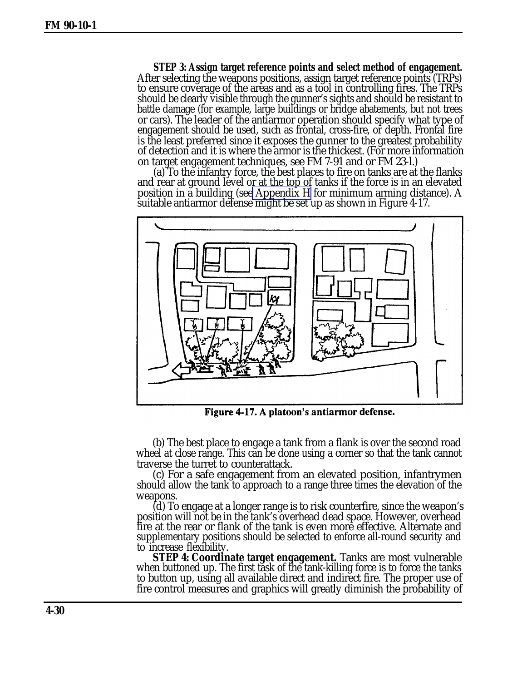**STEP 3: Assign target reference points and select method of engagement.** After selecting the weapons positions, assign target reference points (TRPs) to ensure coverage of the areas and as a tool in controlling fires. The TRPs should be clearly visible through the gunner's sights and should be resistant to battle damage (for example, large buildings or bridge abatements, but not trees or cars). The leader of the antiarmor operation should specify what type of engagement should be used, such as frontal, cross-fire, or depth. Frontal fire is the least preferred since it exposes the gunner to the greatest probability of detection and it is where the armor is the thickest. (For more information on target engagement techniques, see FM 7-91 and or FM 23-l.)

(a) To the infantry force, the best places to fire on tanks are at the flanks and rear at ground level or at the top of tanks if the force is in an elevated position in a building (se[e Appendix H](#page-0-0) for minimum arming distance). A suitable antiarmor defense might be set up as shown in Figure 4-17.



Figure 4-17. A platoon's antiarmor defense.

(b) The best place to engage a tank from a flank is over the second road wheel at close range. This can be done using a corner so that the tank cannot traverse the turret to counterattack.

(c) For a safe engagement from an elevated position, infantrymen should allow the tank to approach to a range three times the elevation of the weapons.

(d) To engage at a longer range is to risk counterfire, since the weapon's position will not be in the tank's overhead dead space. However, overhead fire at the rear or flank of the tank is even more effective. Alternate and supplementary positions should be selected to enforce all-round security and to increase flexibility.

**STEP 4: Coordinate target engagement.** Tanks are most vulnerable when buttoned up. The first task of the tank-killing force is to force the tanks to button up, using all available direct and indirect fire. The proper use of fire control measures and graphics will greatly diminish the probability of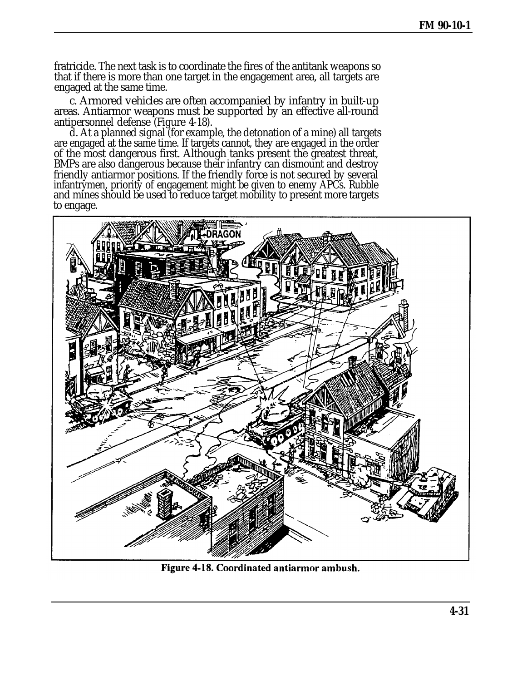fratricide. The next task is to coordinate the fires of the antitank weapons so that if there is more than one target in the engagement area, all targets are engaged at the same time.

c. Armored vehicles are often accompanied by infantry in built-up areas. Antiarmor weapons must be supported by an effective all-round antipersonnel defense (Figure 4-18).

d. At a planned signal (for example, the detonation of a mine) all targets are engaged at the same time. If targets cannot, they are engaged in the order of the most dangerous first. Although tanks present the greatest threat, BMPs are also dangerous because their infantry can dismount and destroy friendly antiarmor positions. If the friendly force is not secured by several infantrymen, priority of engagement might be given to enemy APCs. Rubble and mines should be used to reduce target mobility to present more targets to engage.



Figure 4-18. Coordinated antiarmor ambush.